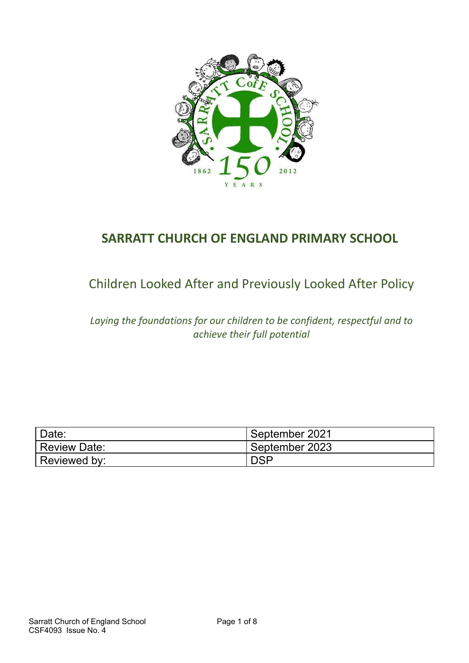

# **SARRATT CHURCH OF ENGLAND PRIMARY SCHOOL**

# Children Looked After and Previously Looked After Policy

## *Laying the foundations for our children to be confident, respectful and to achieve their full potential*

| Date:        | September 2021 |
|--------------|----------------|
| Review Date: | September 2023 |
| Reviewed by: | <b>DSP</b>     |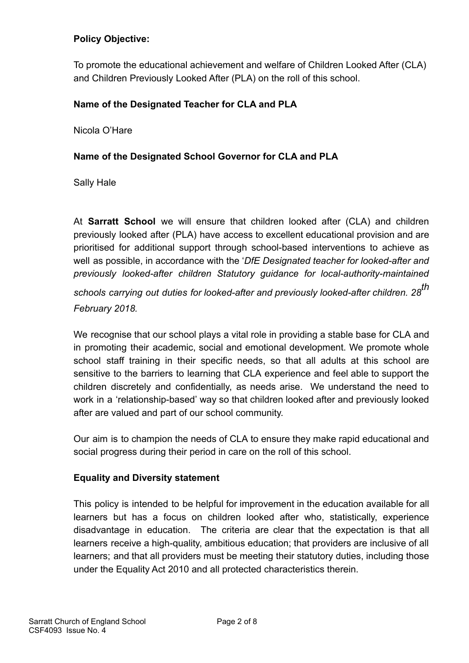#### **Policy Objective:**

To promote the educational achievement and welfare of Children Looked After (CLA) and Children Previously Looked After (PLA) on the roll of this school.

### **Name of the Designated Teacher for CLA and PLA**

Nicola O'Hare

#### **Name of the Designated School Governor for CLA and PLA**

Sally Hale

At **Sarratt School** we will ensure that children looked after (CLA) and children previously looked after (PLA) have access to excellent educational provision and are prioritised for additional support through school-based interventions to achieve as well as possible, in accordance with the '*DfE Designated teacher for looked-after and previously looked-after children Statutory guidance for local-authority-maintained*

*schools carrying out duties for looked-after and previously looked-after children. <sup>28</sup>th February 2018.*

We recognise that our school plays a vital role in providing a stable base for CLA and in promoting their academic, social and emotional development. We promote whole school staff training in their specific needs, so that all adults at this school are sensitive to the barriers to learning that CLA experience and feel able to support the children discretely and confidentially, as needs arise. We understand the need to work in a 'relationship-based' way so that children looked after and previously looked after are valued and part of our school community.

Our aim is to champion the needs of CLA to ensure they make rapid educational and social progress during their period in care on the roll of this school.

#### **Equality and Diversity statement**

This policy is intended to be helpful for improvement in the education available for all learners but has a focus on children looked after who, statistically, experience disadvantage in education. The criteria are clear that the expectation is that all learners receive a high-quality, ambitious education; that providers are inclusive of all learners; and that all providers must be meeting their statutory duties, including those under the Equality Act 2010 and all protected characteristics therein.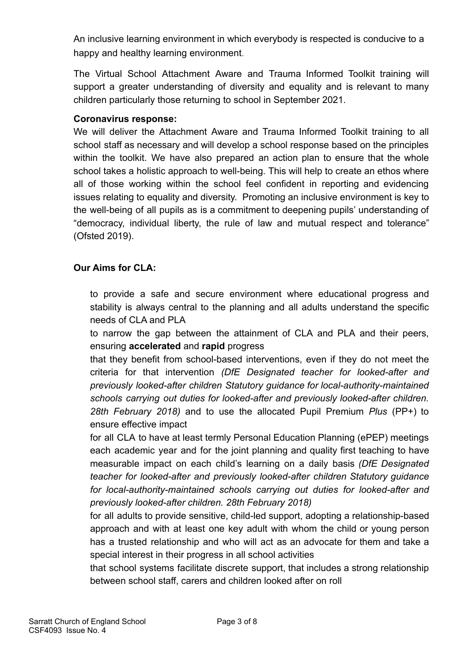An inclusive learning environment in which everybody is respected is conducive to a happy and healthy learning environment.

The Virtual School Attachment Aware and Trauma Informed Toolkit training will support a greater understanding of diversity and equality and is relevant to many children particularly those returning to school in September 2021.

#### **Coronavirus response:**

We will deliver the Attachment Aware and Trauma Informed Toolkit training to all school staff as necessary and will develop a school response based on the principles within the toolkit. We have also prepared an action plan to ensure that the whole school takes a holistic approach to well-being. This will help to create an ethos where all of those working within the school feel confident in reporting and evidencing issues relating to equality and diversity. Promoting an inclusive environment is key to the well-being of all pupils as is a commitment to deepening pupils' understanding of "democracy, individual liberty, the rule of law and mutual respect and tolerance" (Ofsted 2019).

#### **Our Aims for CLA:**

to provide a safe and secure environment where educational progress and stability is always central to the planning and all adults understand the specific needs of CLA and PLA

to narrow the gap between the attainment of CLA and PLA and their peers, ensuring **accelerated** and **rapid** progress

that they benefit from school-based interventions, even if they do not meet the criteria for that intervention *(DfE Designated teacher for looked-after and previously looked-after children Statutory guidance for local-authority-maintained schools carrying out duties for looked-after and previously looked-after children. 28th February 2018)* and to use the allocated Pupil Premium *Plus* (PP+) to ensure effective impact

for all CLA to have at least termly Personal Education Planning (ePEP) meetings each academic year and for the joint planning and quality first teaching to have measurable impact on each child's learning on a daily basis *(DfE Designated teacher for looked-after and previously looked-after children Statutory guidance for local-authority-maintained schools carrying out duties for looked-after and previously looked-after children. 28th February 2018)*

for all adults to provide sensitive, child-led support, adopting a relationship-based approach and with at least one key adult with whom the child or young person has a trusted relationship and who will act as an advocate for them and take a special interest in their progress in all school activities

that school systems facilitate discrete support, that includes a strong relationship between school staff, carers and children looked after on roll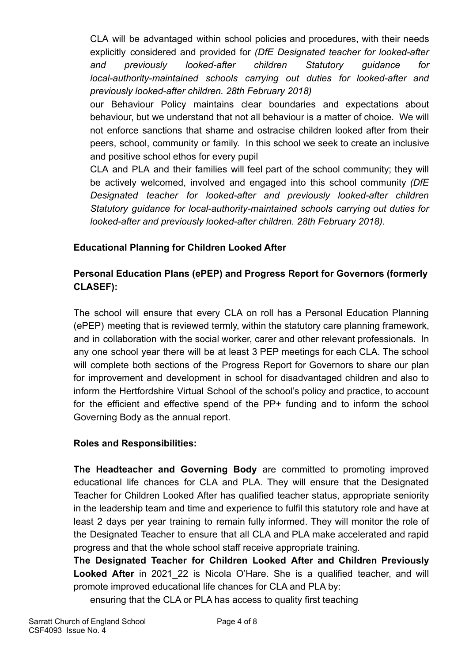CLA will be advantaged within school policies and procedures, with their needs explicitly considered and provided for *(DfE Designated teacher for looked-after and previously looked-after children Statutory guidance for local-authority-maintained schools carrying out duties for looked-after and previously looked-after children. 28th February 2018)*

our Behaviour Policy maintains clear boundaries and expectations about behaviour, but we understand that not all behaviour is a matter of choice. We will not enforce sanctions that shame and ostracise children looked after from their peers, school, community or family. In this school we seek to create an inclusive and positive school ethos for every pupil

CLA and PLA and their families will feel part of the school community; they will be actively welcomed, involved and engaged into this school community *(DfE Designated teacher for looked-after and previously looked-after children Statutory guidance for local-authority-maintained schools carrying out duties for looked-after and previously looked-after children. 28th February 2018).*

## **Educational Planning for Children Looked After**

## **Personal Education Plans (ePEP) and Progress Report for Governors (formerly CLASEF):**

The school will ensure that every CLA on roll has a Personal Education Planning (ePEP) meeting that is reviewed termly, within the statutory care planning framework, and in collaboration with the social worker, carer and other relevant professionals. In any one school year there will be at least 3 PEP meetings for each CLA. The school will complete both sections of the Progress Report for Governors to share our plan for improvement and development in school for disadvantaged children and also to inform the Hertfordshire Virtual School of the school's policy and practice, to account for the efficient and effective spend of the PP+ funding and to inform the school Governing Body as the annual report.

#### **Roles and Responsibilities:**

**The Headteacher and Governing Body** are committed to promoting improved educational life chances for CLA and PLA. They will ensure that the Designated Teacher for Children Looked After has qualified teacher status, appropriate seniority in the leadership team and time and experience to fulfil this statutory role and have at least 2 days per year training to remain fully informed. They will monitor the role of the Designated Teacher to ensure that all CLA and PLA make accelerated and rapid progress and that the whole school staff receive appropriate training.

**The Designated Teacher for Children Looked After and Children Previously Looked After** in 2021\_22 is Nicola O'Hare. She is a qualified teacher, and will promote improved educational life chances for CLA and PLA by:

ensuring that the CLA or PLA has access to quality first teaching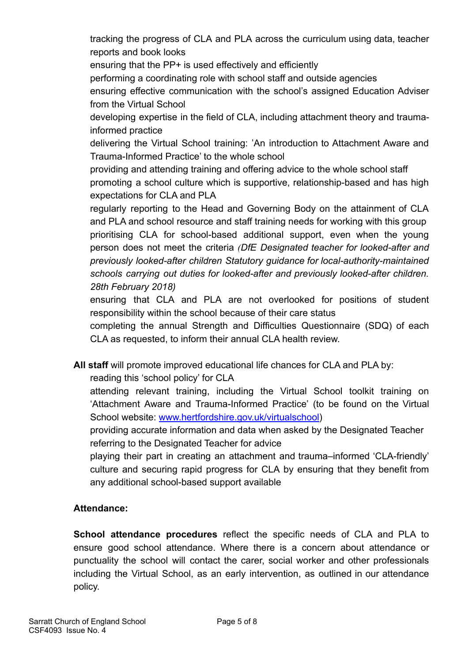tracking the progress of CLA and PLA across the curriculum using data, teacher reports and book looks

ensuring that the PP+ is used effectively and efficiently

performing a coordinating role with school staff and outside agencies

ensuring effective communication with the school's assigned Education Adviser from the Virtual School

developing expertise in the field of CLA, including attachment theory and traumainformed practice

delivering the Virtual School training: 'An introduction to Attachment Aware and Trauma-Informed Practice' to the whole school

providing and attending training and offering advice to the whole school staff promoting a school culture which is supportive, relationship-based and has high expectations for CLA and PLA

regularly reporting to the Head and Governing Body on the attainment of CLA and PLA and school resource and staff training needs for working with this group prioritising CLA for school-based additional support, even when the young person does not meet the criteria *(DfE Designated teacher for looked-after and previously looked-after children Statutory guidance for local-authority-maintained schools carrying out duties for looked-after and previously looked-after children. 28th February 2018)*

ensuring that CLA and PLA are not overlooked for positions of student responsibility within the school because of their care status

completing the annual Strength and Difficulties Questionnaire (SDQ) of each CLA as requested, to inform their annual CLA health review.

**All staff** will promote improved educational life chances for CLA and PLA by:

reading this 'school policy' for CLA

attending relevant training, including the Virtual School toolkit training on 'Attachment Aware and Trauma-Informed Practice' (to be found on the Virtual School website: [www.hertfordshire.gov.uk/virtualschool\)](http://www.hertfordshire.gov.uk/virtualschool)

providing accurate information and data when asked by the Designated Teacher referring to the Designated Teacher for advice

playing their part in creating an attachment and trauma–informed 'CLA-friendly' culture and securing rapid progress for CLA by ensuring that they benefit from any additional school-based support available

## **Attendance:**

**School attendance procedures** reflect the specific needs of CLA and PLA to ensure good school attendance. Where there is a concern about attendance or punctuality the school will contact the carer, social worker and other professionals including the Virtual School, as an early intervention, as outlined in our attendance policy.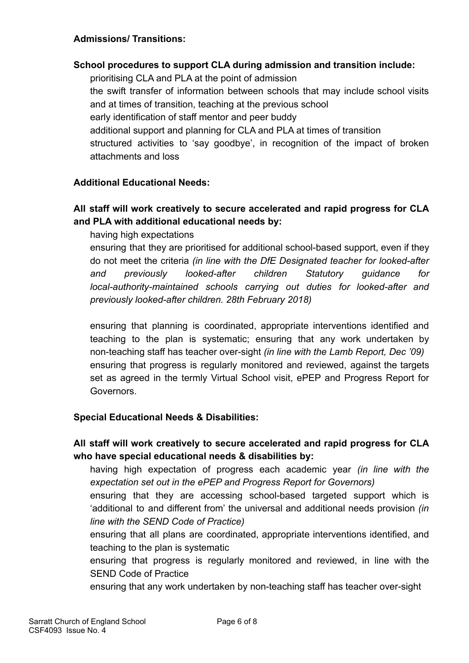#### **Admissions/ Transitions:**

#### **School procedures to support CLA during admission and transition include:**

prioritising CLA and PLA at the point of admission the swift transfer of information between schools that may include school visits and at times of transition, teaching at the previous school early identification of staff mentor and peer buddy additional support and planning for CLA and PLA at times of transition structured activities to 'say goodbye', in recognition of the impact of broken attachments and loss

#### **Additional Educational Needs:**

## **All staff will work creatively to secure accelerated and rapid progress for CLA and PLA with additional educational needs by:**

#### having high expectations

ensuring that they are prioritised for additional school-based support, even if they do not meet the criteria *(in line with the DfE Designated teacher for looked-after and previously looked-after children Statutory guidance for local-authority-maintained schools carrying out duties for looked-after and previously looked-after children. 28th February 2018)*

ensuring that planning is coordinated, appropriate interventions identified and teaching to the plan is systematic; ensuring that any work undertaken by non-teaching staff has teacher over-sight *(in line with the Lamb Report, Dec '09)* ensuring that progress is regularly monitored and reviewed, against the targets set as agreed in the termly Virtual School visit, ePEP and Progress Report for Governors.

#### **Special Educational Needs & Disabilities:**

## **All staff will work creatively to secure accelerated and rapid progress for CLA who have special educational needs & disabilities by:**

having high expectation of progress each academic year *(in line with the expectation set out in the ePEP and Progress Report for Governors)*

ensuring that they are accessing school-based targeted support which is 'additional to and different from' the universal and additional needs provision *(in line with the SEND Code of Practice)*

ensuring that all plans are coordinated, appropriate interventions identified, and teaching to the plan is systematic

ensuring that progress is regularly monitored and reviewed, in line with the SEND Code of Practice

ensuring that any work undertaken by non-teaching staff has teacher over-sight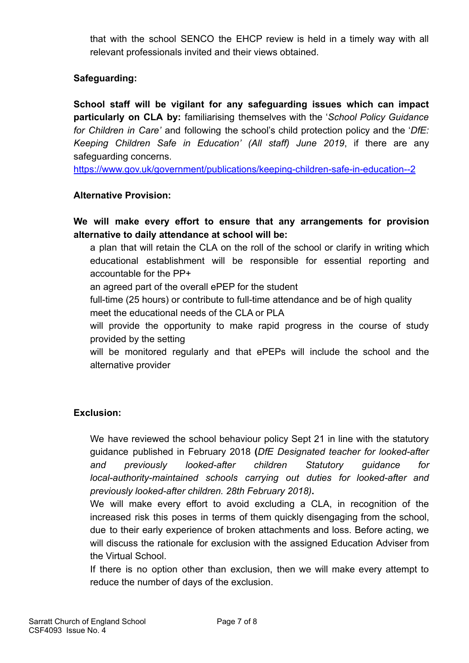that with the school SENCO the EHCP review is held in a timely way with all relevant professionals invited and their views obtained.

### **Safeguarding:**

**School staff will be vigilant for any safeguarding issues which can impact particularly on CLA by:** familiarising themselves with the '*School Policy Guidance for Children in Care'* and following the school's child protection policy and the '*DfE: Keeping Children Safe in Education' (All staff) June 2019*, if there are any safeguarding concerns.

<https://www.gov.uk/government/publications/keeping-children-safe-in-education--2>

#### **Alternative Provision:**

## **We will make every effort to ensure that any arrangements for provision alternative to daily attendance at school will be:**

- a plan that will retain the CLA on the roll of the school or clarify in writing which educational establishment will be responsible for essential reporting and accountable for the PP+
- an agreed part of the overall ePEP for the student
- full-time (25 hours) or contribute to full-time attendance and be of high quality meet the educational needs of the CLA or PLA
- will provide the opportunity to make rapid progress in the course of study provided by the setting
- will be monitored regularly and that ePEPs will include the school and the alternative provider

#### **Exclusion:**

We have reviewed the school behaviour policy Sept 21 in line with the statutory guidance published in February 2018 **(***DfE Designated teacher for looked-after and previously looked-after children Statutory guidance for local-authority-maintained schools carrying out duties for looked-after and previously looked-after children. 28th February 2018)***.**

We will make every effort to avoid excluding a CLA, in recognition of the increased risk this poses in terms of them quickly disengaging from the school, due to their early experience of broken attachments and loss. Before acting, we will discuss the rationale for exclusion with the assigned Education Adviser from the Virtual School.

If there is no option other than exclusion, then we will make every attempt to reduce the number of days of the exclusion.